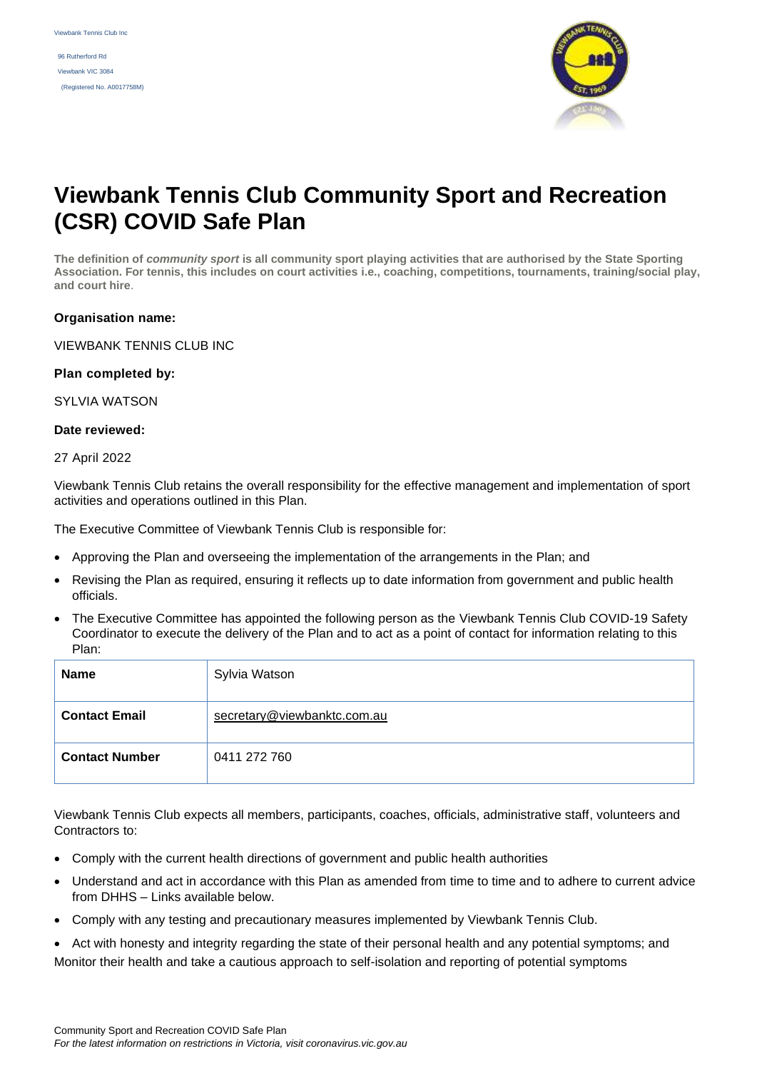96 Rutherford Rd Viewbank VIC 3084 (Registered No. A0017758M)



# **Viewbank Tennis Club Community Sport and Recreation (CSR) COVID Safe Plan**

**The definition of** *community sport* **is all community sport playing activities that are authorised by the State Sporting Association. For tennis, this includes on court activities i.e., coaching, competitions, tournaments, training/social play, and court hire**.

#### **Organisation name:**

VIEWBANK TENNIS CLUB INC

#### **Plan completed by:**

SYLVIA WATSON

#### **Date reviewed:**

#### 27 April 2022

Viewbank Tennis Club retains the overall responsibility for the effective management and implementation of sport activities and operations outlined in this Plan.

The Executive Committee of Viewbank Tennis Club is responsible for:

- Approving the Plan and overseeing the implementation of the arrangements in the Plan; and
- Revising the Plan as required, ensuring it reflects up to date information from government and public health officials.
- The Executive Committee has appointed the following person as the Viewbank Tennis Club COVID-19 Safety Coordinator to execute the delivery of the Plan and to act as a point of contact for information relating to this Plan:

| <b>Name</b>           | Sylvia Watson               |
|-----------------------|-----------------------------|
| <b>Contact Email</b>  | secretary@viewbanktc.com.au |
| <b>Contact Number</b> | 0411 272 760                |

Viewbank Tennis Club expects all members, participants, coaches, officials, administrative staff, volunteers and Contractors to:

- Comply with the current health directions of government and public health authorities
- Understand and act in accordance with this Plan as amended from time to time and to adhere to current advice from DHHS – Links available below.
- Comply with any testing and precautionary measures implemented by Viewbank Tennis Club.
- Act with honesty and integrity regarding the state of their personal health and any potential symptoms; and Monitor their health and take a cautious approach to self-isolation and reporting of potential symptoms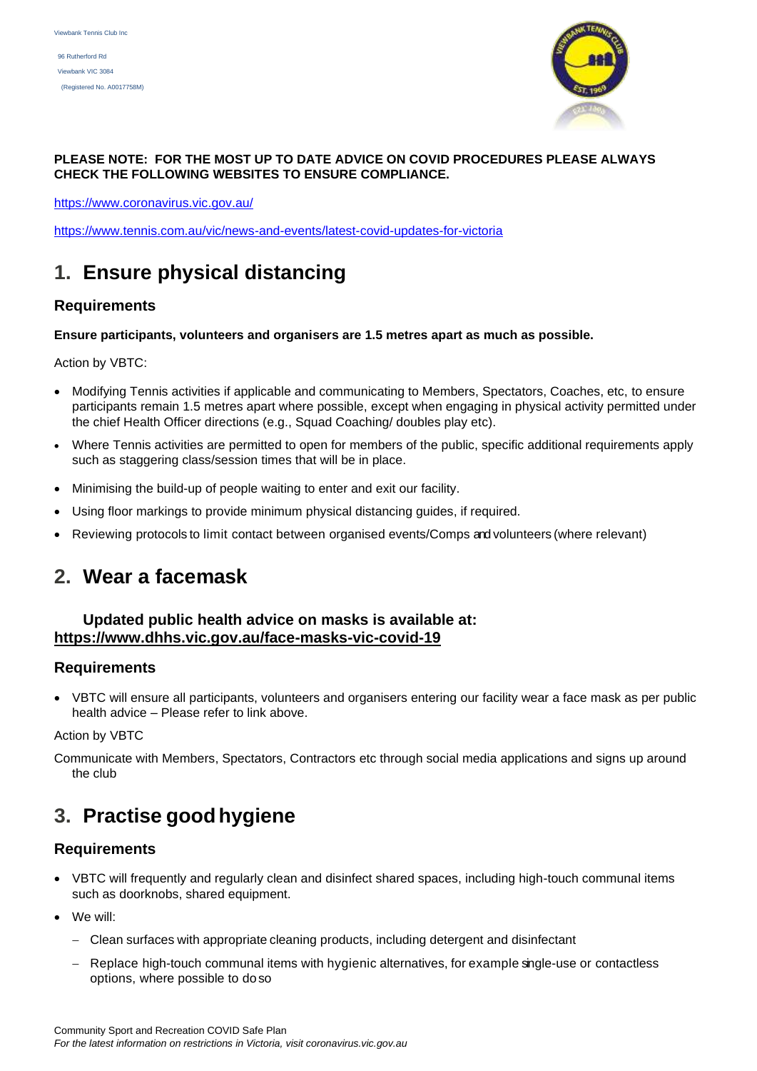

#### **PLEASE NOTE: FOR THE MOST UP TO DATE ADVICE ON COVID PROCEDURES PLEASE ALWAYS CHECK THE FOLLOWING WEBSITES TO ENSURE COMPLIANCE.**

https://www.coronavirus.vic.gov.au/

<https://www.tennis.com.au/vic/news-and-events/latest-covid-updates-for-victoria>

# **1. Ensure physical distancing**

# **Requirements**

# **Ensure participants, volunteers and organisers are 1.5 metres apart as much as possible.**

Action by VBTC:

- Modifying Tennis activities if applicable and communicating to Members, Spectators, Coaches, etc, to ensure participants remain 1.5 metres apart where possible, except when engaging in physical activity permitted under the chief Health Officer directions (e.g., Squad Coaching/ doubles play etc).
- Where Tennis activities are permitted to open for members of the public, specific additional requirements apply such as staggering class/session times that will be in place.
- Minimising the build-up of people waiting to enter and exit our facility.
- Using floor markings to provide minimum physical distancing guides, if required.
- Reviewing protocols to limit contact between organised events/Comps and volunteers (where relevant)

# **2. Wear a facemask**

# **Updated public health advice on masks is available at: <https://www.dhhs.vic.gov.au/face-masks-vic-covid-19>**

# **Requirements**

• VBTC will ensure all participants, volunteers and organisers entering our facility wear a face mask as per public health advice – Please refer to link above.

#### Action by VBTC

Communicate with Members, Spectators, Contractors etc through social media applications and signs up around the club

# **3. Practise goodhygiene**

# **Requirements**

- VBTC will frequently and regularly clean and disinfect shared spaces, including high-touch communal items such as doorknobs, shared equipment.
- We will:
	- − Clean surfaces with appropriate cleaning products, including detergent and disinfectant
	- − Replace high-touch communal items with hygienic alternatives, for example single-use or contactless options, where possible to do so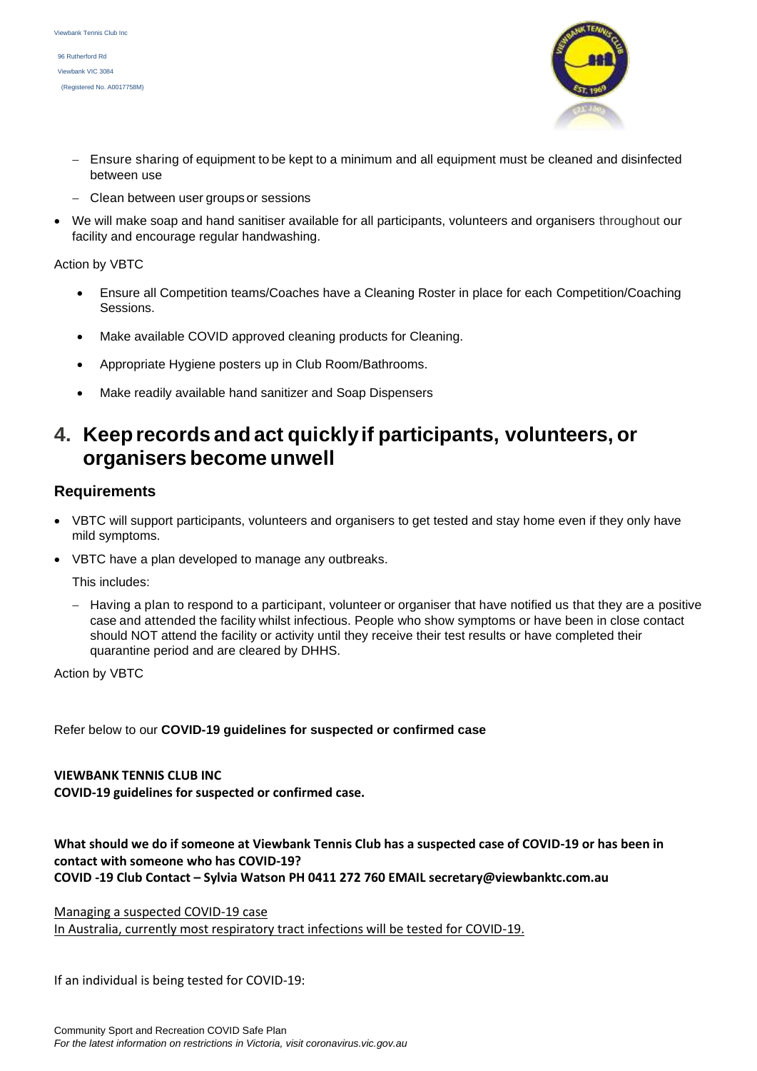96 Rutherford Rd Viewbank VIC 3084 (Registered No. A0017758M)



- − Ensure sharing of equipment to be kept to a minimum and all equipment must be cleaned and disinfected between use
- − Clean between user groups or sessions
- We will make soap and hand sanitiser available for all participants, volunteers and organisers throughout our facility and encourage regular handwashing.

Action by VBTC

- Ensure all Competition teams/Coaches have a Cleaning Roster in place for each Competition/Coaching Sessions.
- Make available COVID approved cleaning products for Cleaning.
- Appropriate Hygiene posters up in Club Room/Bathrooms.
- Make readily available hand sanitizer and Soap Dispensers

# **4. Keeprecords and act quicklyif participants, volunteers, or organisers become unwell**

# **Requirements**

- VBTC will support participants, volunteers and organisers to get tested and stay home even if they only have mild symptoms.
- VBTC have a plan developed to manage any outbreaks.

This includes:

− Having a plan to respond to a participant, volunteer or organiser that have notified us that they are a positive case and attended the facility whilst infectious. People who show symptoms or have been in close contact should NOT attend the facility or activity until they receive their test results or have completed their quarantine period and are cleared by DHHS.

Action by VBTC

Refer below to our **COVID-19 guidelines for suspected or confirmed case**

**VIEWBANK TENNIS CLUB INC**

**COVID-19 guidelines for suspected or confirmed case.**

### **What should we do if someone at Viewbank Tennis Club has a suspected case of COVID-19 or has been in contact with someone who has COVID-19? COVID -19 Club Contact – Sylvia Watson PH 0411 272 760 EMAIL secretary@viewbanktc.com.au**

Managing a suspected COVID-19 case

In Australia, currently most respiratory tract infections will be tested for COVID-19.

If an individual is being tested for COVID-19: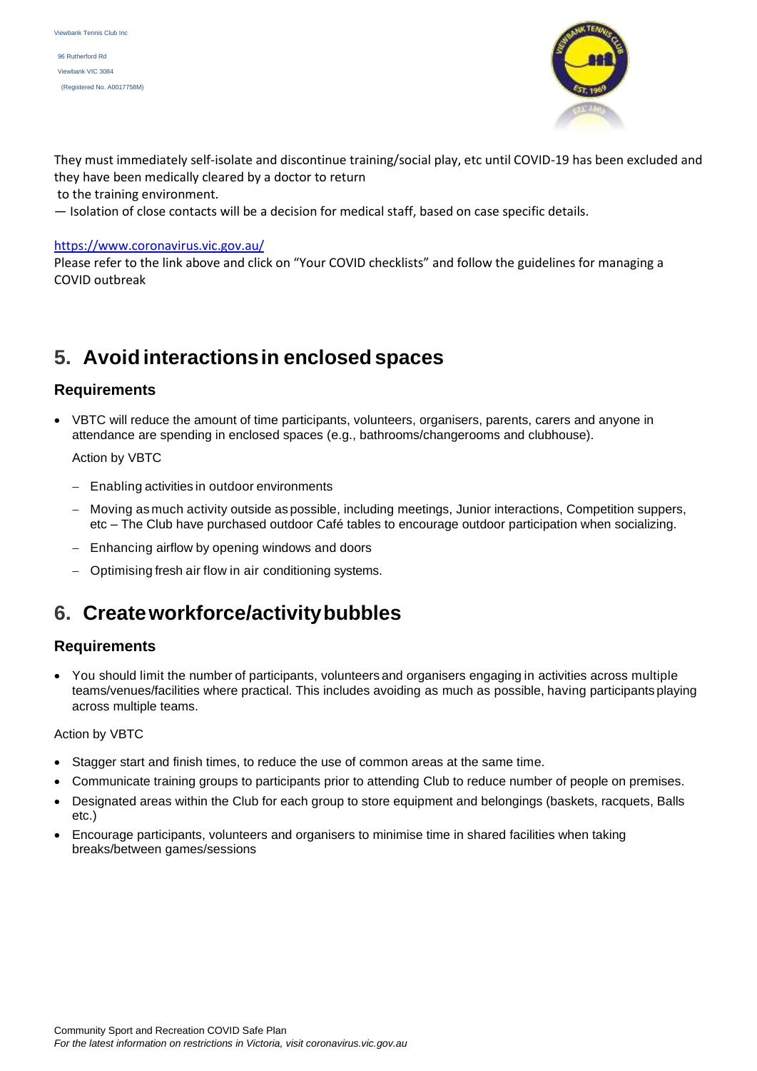96 Rutherford Rd Viewbank VIC 3084 (Registered No. A0017758M)



They must immediately self-isolate and discontinue training/social play, etc until COVID-19 has been excluded and they have been medically cleared by a doctor to return

to the training environment.

— Isolation of close contacts will be a decision for medical staff, based on case specific details.

#### <https://www.coronavirus.vic.gov.au/>

Please refer to the link above and click on "Your COVID checklists" and follow the guidelines for managing a COVID outbreak

# **5. Avoid interactionsin enclosed spaces**

# **Requirements**

• VBTC will reduce the amount of time participants, volunteers, organisers, parents, carers and anyone in attendance are spending in enclosed spaces (e.g., bathrooms/changerooms and clubhouse).

#### Action by VBTC

- − Enabling activities in outdoor environments
- − Moving as much activity outside as possible, including meetings, Junior interactions, Competition suppers, etc – The Club have purchased outdoor Café tables to encourage outdoor participation when socializing.
- − Enhancing airflow by opening windows and doors
- − Optimising fresh air flow in air conditioning systems.

# **6. Createworkforce/activitybubbles**

# **Requirements**

• You should limit the number of participants, volunteers and organisers engaging in activities across multiple teams/venues/facilities where practical. This includes avoiding as much as possible, having participants playing across multiple teams.

#### Action by VBTC

- Stagger start and finish times, to reduce the use of common areas at the same time.
- Communicate training groups to participants prior to attending Club to reduce number of people on premises.
- Designated areas within the Club for each group to store equipment and belongings (baskets, racquets, Balls etc.)
- Encourage participants, volunteers and organisers to minimise time in shared facilities when taking breaks/between games/sessions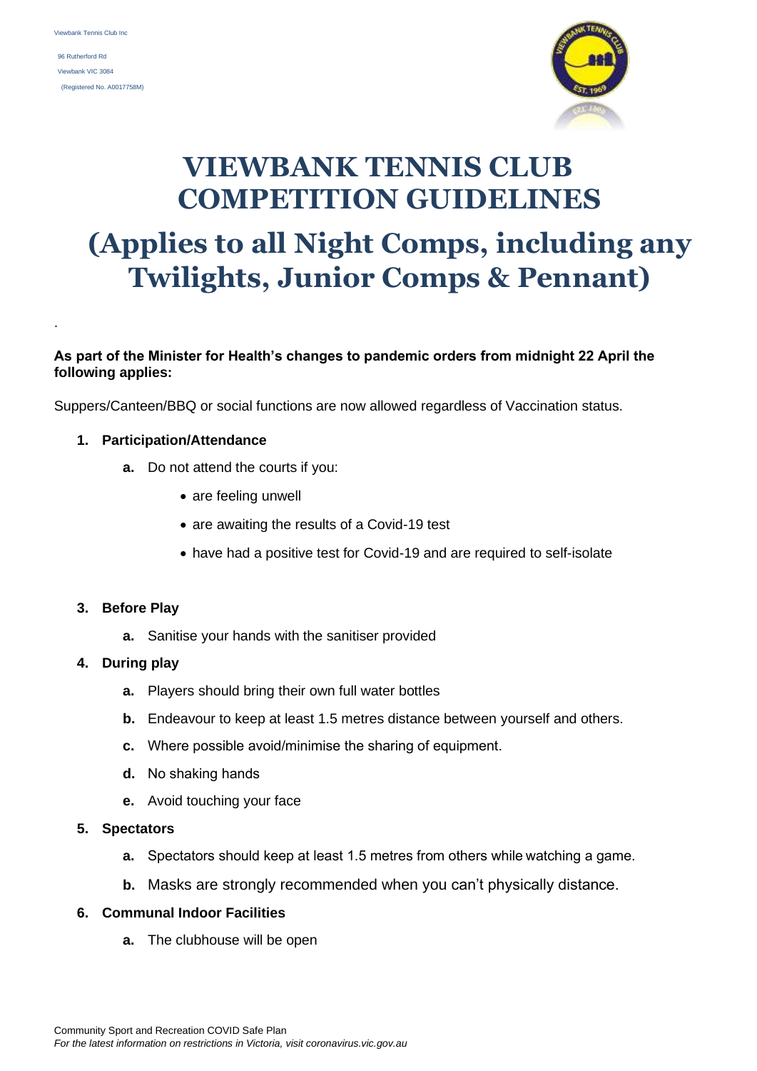.

 96 Rutherford Rd Viewbank VIC 3084 (Registered No. A0017758M)



# **VIEWBANK TENNIS CLUB COMPETITION GUIDELINES (Applies to all Night Comps, including any Twilights, Junior Comps & Pennant)**

# **As part of the Minister for Health's changes to pandemic orders from midnight 22 April the following applies:**

Suppers/Canteen/BBQ or social functions are now allowed regardless of Vaccination status.

### **1. Participation/Attendance**

- **a.** Do not attend the courts if you:
	- are feeling unwell
	- are awaiting the results of a Covid-19 test
	- have had a positive test for Covid-19 and are required to self-isolate

# **3. Before Play**

**a.** Sanitise your hands with the sanitiser provided

#### **4. During play**

- **a.** Players should bring their own full water bottles
- **b.** Endeavour to keep at least 1.5 metres distance between yourself and others.
- **c.** Where possible avoid/minimise the sharing of equipment.
- **d.** No shaking hands
- **e.** Avoid touching your face

#### **5. Spectators**

- **a.** Spectators should keep at least 1.5 metres from others while watching a game.
- **b.** Masks are strongly recommended when you can't physically distance.

#### **6. Communal Indoor Facilities**

**a.** The clubhouse will be open